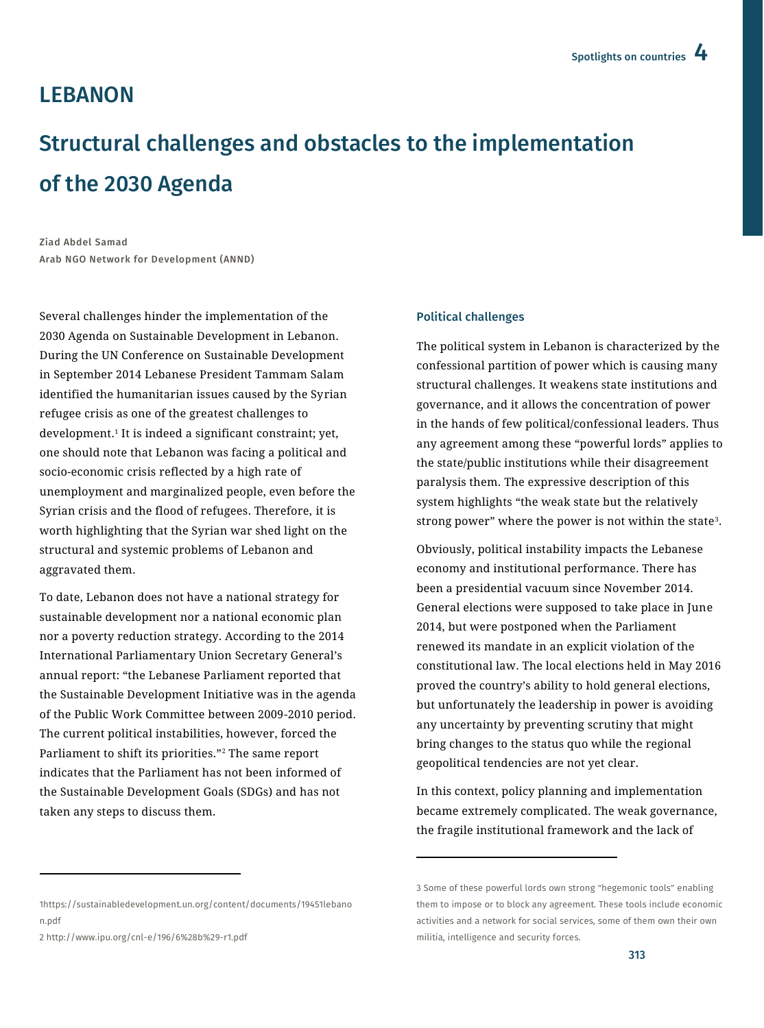## **LEBANON**

# Structural challenges and obstacles to the implementation of the 2030 Agenda

Ziad Abdel Samad Arab NGO Network for Development (ANND)

Several challenges hinder the implementation of the 2030 Agenda on Sustainable Development in Lebanon. During the UN Conference on Sustainable Development in September 2014 Lebanese President Tammam Salam identified the humanitarian issues caused by the Syrian refugee crisis as one of the greatest challenges to development.<sup>1</sup> It is indeed a significant constraint; yet, one should note that Lebanon was facing a political and socio-economic crisis reflected by a high rate of unemployment and marginalized people, even before the Syrian crisis and the flood of refugees. Therefore, it is worth highlighting that the Syrian war shed light on the structural and systemic problems of Lebanon and aggravated them.

To date, Lebanon does not have a national strategy for sustainable development nor a national economic plan nor a poverty reduction strategy. According to the 2014 International Parliamentary Union Secretary General's annual report: "the Lebanese Parliament reported that the Sustainable Development Initiative was in the agenda of the Public Work Committee between 2009-2010 period. The current political instabilities, however, forced the Parliament to shift its priorities."<sup>2</sup> The same report indicates that the Parliament has not been informed of the Sustainable Development Goals (SDGs) and has not taken any steps to discuss them.

#### Political challenges

The political system in Lebanon is characterized by the confessional partition of power which is causing many structural challenges. It weakens state institutions and governance, and it allows the concentration of power in the hands of few political/confessional leaders. Thus any agreement among these "powerful lords" applies to the state/public institutions while their disagreement paralysis them. The expressive description of this system highlights "the weak state but the relatively strong power" where the power is not within the state<sup>3</sup> .

Obviously, political instability impacts the Lebanese economy and institutional performance. There has been a presidential vacuum since November 2014. General elections were supposed to take place in June 2014, but were postponed when the Parliament renewed its mandate in an explicit violation of the constitutional law. The local elections held in May 2016 proved the country's ability to hold general elections, but unfortunately the leadership in power is avoiding any uncertainty by preventing scrutiny that might bring changes to the status quo while the regional geopolitical tendencies are not yet clear.

In this context, policy planning and implementation became extremely complicated. The weak governance, the fragile institutional framework and the lack of

 $\overline{\phantom{a}}$ 

2 <http://www.ipu.org/cnl-e/196/6%28b%29-r1.pdf>

 $\ddot{\phantom{a}}$ 

<sup>3</sup> Some of these powerful lords own strong "hegemonic tools" enabling them to impose or to block any agreement. These tools include economic activities and a network for social services, some of them own their own militia, intelligence and security forces.

[<sup>1</sup>https://sustainabledevelopment.un.org/content/documents/19451lebano](https://sustainabledevelopment.un.org/content/documents/19451lebanon.pdf) [n.pdf](https://sustainabledevelopment.un.org/content/documents/19451lebanon.pdf)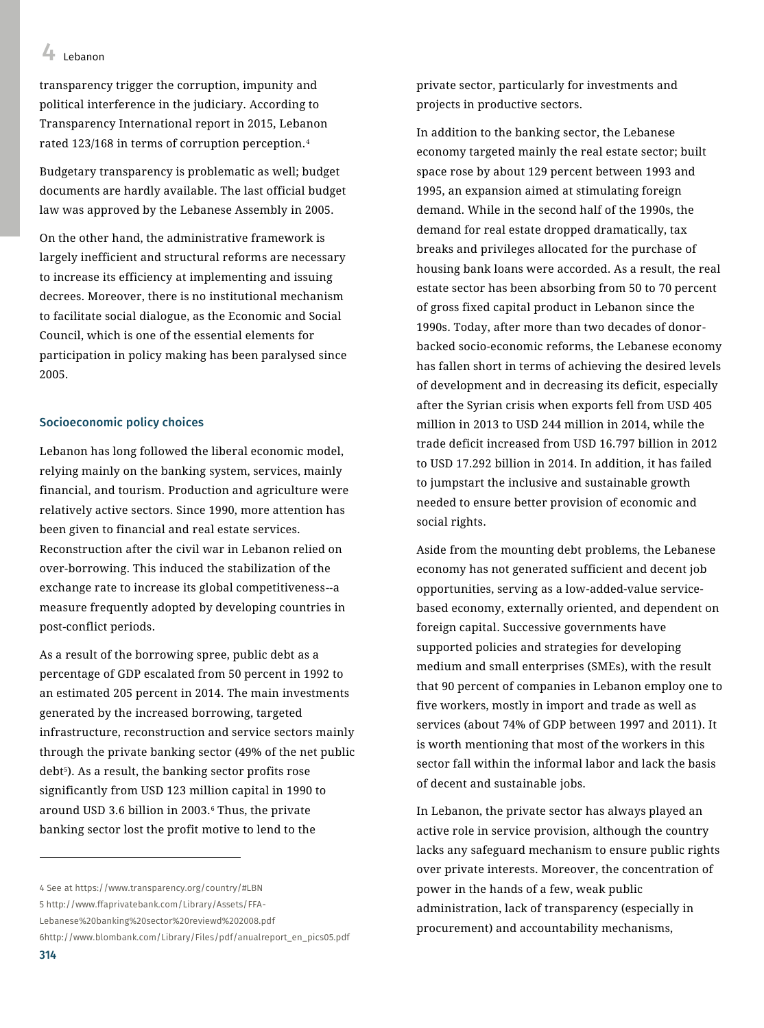transparency trigger the corruption, impunity and political interference in the judiciary. According to Transparency International report in 2015, Lebanon rated 123/168 in terms of corruption perception.<sup>4</sup>

Budgetary transparency is problematic as well; budget documents are hardly available. The last official budget law was approved by the Lebanese Assembly in 2005.

On the other hand, the administrative framework is largely inefficient and structural reforms are necessary to increase its efficiency at implementing and issuing decrees. Moreover, there is no institutional mechanism to facilitate social dialogue, as the Economic and Social Council, which is one of the essential elements for participation in policy making has been paralysed since 2005.

#### Socioeconomic policy choices

Lebanon has long followed the liberal economic model, relying mainly on the banking system, services, mainly financial, and tourism. Production and agriculture were relatively active sectors. Since 1990, more attention has been given to financial and real estate services. Reconstruction after the civil war in Lebanon relied on over-borrowing. This induced the stabilization of the exchange rate to increase its global competitiveness--a measure frequently adopted by developing countries in post-conflict periods.

As a result of the borrowing spree, public debt as a percentage of GDP escalated from 50 percent in 1992 to an estimated 205 percent in 2014. The main investments generated by the increased borrowing, targeted infrastructure, reconstruction and service sectors mainly through the private banking sector (49% of the net public debt5). As a result, the banking sector profits rose significantly from USD 123 million capital in 1990 to around USD 3.6 billion in 2003.<sup>6</sup> Thus, the private banking sector lost the profit motive to lend to the

In addition to the banking sector, the Lebanese economy targeted mainly the real estate sector; built space rose by about 129 percent between 1993 and 1995, an expansion aimed at stimulating foreign demand. While in the second half of the 1990s, the demand for real estate dropped dramatically, tax breaks and privileges allocated for the purchase of housing bank loans were accorded. As a result, the real estate sector has been absorbing from 50 to 70 percent of gross fixed capital product in Lebanon since the 1990s. Today, after more than two decades of donorbacked socio-economic reforms, the Lebanese economy has fallen short in terms of achieving the desired levels of development and in decreasing its deficit, especially after the Syrian crisis when exports fell from USD 405 million in 2013 to USD 244 million in 2014, while the trade deficit increased from USD 16.797 billion in 2012 to USD 17.292 billion in 2014. In addition, it has failed to jumpstart the inclusive and sustainable growth needed to ensure better provision of economic and social rights.

Aside from the mounting debt problems, the Lebanese economy has not generated sufficient and decent job opportunities, serving as a low-added-value servicebased economy, externally oriented, and dependent on foreign capital. Successive governments have supported policies and strategies for developing medium and small enterprises (SMEs), with the result that 90 percent of companies in Lebanon employ one to five workers, mostly in import and trade as well as services (about 74% of GDP between 1997 and 2011). It is worth mentioning that most of the workers in this sector fall within the informal labor and lack the basis of decent and sustainable jobs.

In Lebanon, the private sector has always played an active role in service provision, although the country lacks any safeguard mechanism to ensure public rights over private interests. Moreover, the concentration of power in the hands of a few, weak public administration, lack of transparency (especially in procurement) and accountability mechanisms,

 $\overline{a}$ 

<sup>4</sup> See at<https://www.transparency.org/country/#LBN>

<sup>5</sup> [http://www.ffaprivatebank.com/Library/Assets/FFA-](http://www.ffaprivatebank.com/Library/Assets/FFA-Lebanese%20banking%20sector%20reviewd%202008.pdf)

[Lebanese%20banking%20sector%20reviewd%202008.pdf](http://www.ffaprivatebank.com/Library/Assets/FFA-Lebanese%20banking%20sector%20reviewd%202008.pdf)

[<sup>6</sup>http://www.blombank.com/Library/Files/pdf/anualreport\\_en\\_pics05.pdf](http://www.blombank.com/Library/Files/pdf/anualreport_en_pics05.pdf)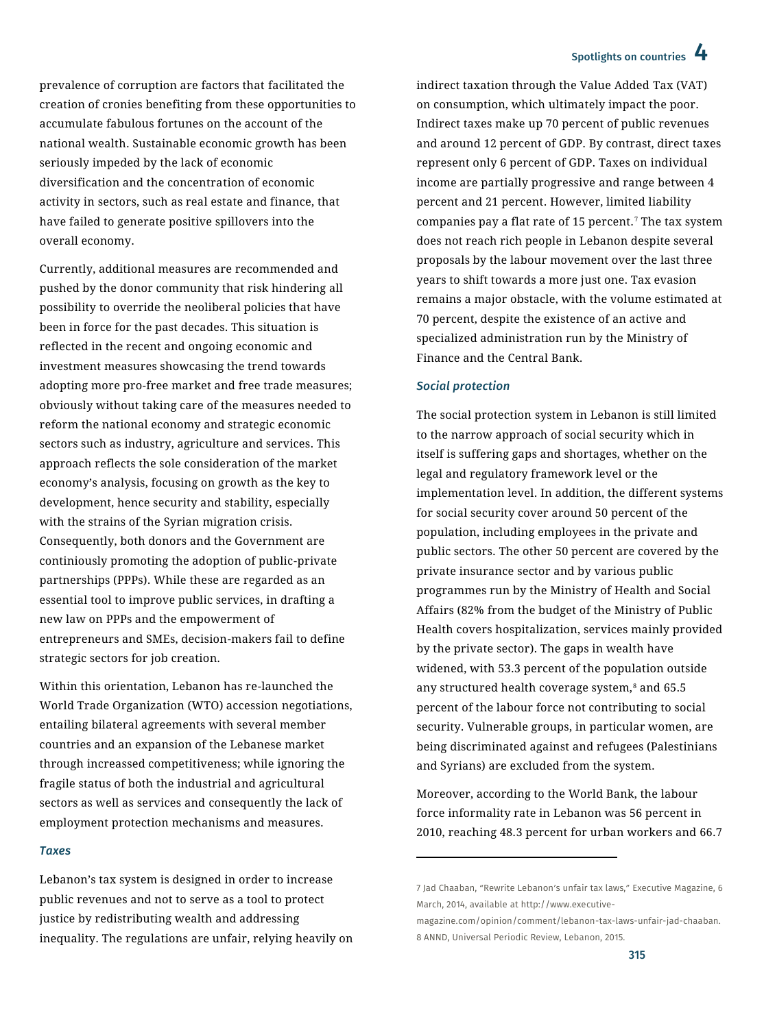## Spotlights on countries 4

prevalence of corruption are factors that facilitated the creation of cronies benefiting from these opportunities to accumulate fabulous fortunes on the account of the national wealth. Sustainable economic growth has been seriously impeded by the lack of economic diversification and the concentration of economic activity in sectors, such as real estate and finance, that have failed to generate positive spillovers into the overall economy.

Currently, additional measures are recommended and pushed by the donor community that risk hindering all possibility to override the neoliberal policies that have been in force for the past decades. This situation is reflected in the recent and ongoing economic and investment measures showcasing the trend towards adopting more pro-free market and free trade measures; obviously without taking care of the measures needed to reform the national economy and strategic economic sectors such as industry, agriculture and services. This approach reflects the sole consideration of the market economy's analysis, focusing on growth as the key to development, hence security and stability, especially with the strains of the Syrian migration crisis. Consequently, both donors and the Government are continiously promoting the adoption of public-private partnerships (PPPs). While these are regarded as an essential tool to improve public services, in drafting a new law on PPPs and the empowerment of entrepreneurs and SMEs, decision-makers fail to define strategic sectors for job creation.

Within this orientation, Lebanon has re-launched the World Trade Organization (WTO) accession negotiations, entailing bilateral agreements with several member countries and an expansion of the Lebanese market through increassed competitiveness; while ignoring the fragile status of both the industrial and agricultural sectors as well as services and consequently the lack of employment protection mechanisms and measures.

#### *Taxes*

Lebanon's tax system is designed in order to increase public revenues and not to serve as a tool to protect justice by redistributing wealth and addressing inequality. The regulations are unfair, relying heavily on indirect taxation through the Value Added Tax (VAT) on consumption, which ultimately impact the poor. Indirect taxes make up 70 percent of public revenues and around 12 percent of GDP. By contrast, direct taxes represent only 6 percent of GDP. Taxes on individual income are partially progressive and range between 4 percent and 21 percent. However, limited liability companies pay a flat rate of 15 percent.<sup> $7$ </sup> The tax system does not reach rich people in Lebanon despite several proposals by the labour movement over the last three years to shift towards a more just one. Tax evasion remains a major obstacle, with the volume estimated at 70 percent, despite the existence of an active and specialized administration run by the Ministry of Finance and the Central Bank.

#### *Social protection*

 $\overline{\phantom{a}}$ 

The social protection system in Lebanon is still limited to the narrow approach of social security which in itself is suffering gaps and shortages, whether on the legal and regulatory framework level or the implementation level. In addition, the different systems for social security cover around 50 percent of the population, including employees in the private and public sectors. The other 50 percent are covered by the private insurance sector and by various public programmes run by the Ministry of Health and Social Affairs (82% from the budget of the Ministry of Public Health covers hospitalization, services mainly provided by the private sector). The gaps in wealth have widened, with 53.3 percent of the population outside any structured health coverage system,<sup>8</sup> and 65.5 percent of the labour force not contributing to social security. Vulnerable groups, in particular women, are being discriminated against and refugees (Palestinians and Syrians) are excluded from the system.

Moreover, according to the World Bank, the labour force informality rate in Lebanon was 56 percent in 2010, reaching 48.3 percent for urban workers and 66.7

<sup>7</sup> Jad Chaaban, "Rewrite Lebanon's unfair tax laws," Executive Magazine, 6 March, 2014, available a[t http://www.executive-](http://www.executive-magazine.com/opinion/comment/lebanon-tax-laws-unfair-jad-chaaban)

[magazine.com/opinion/comment/lebanon-tax-laws-unfair-jad-chaaban.](http://www.executive-magazine.com/opinion/comment/lebanon-tax-laws-unfair-jad-chaaban) 8 ANND, Universal Periodic Review, Lebanon, 2015.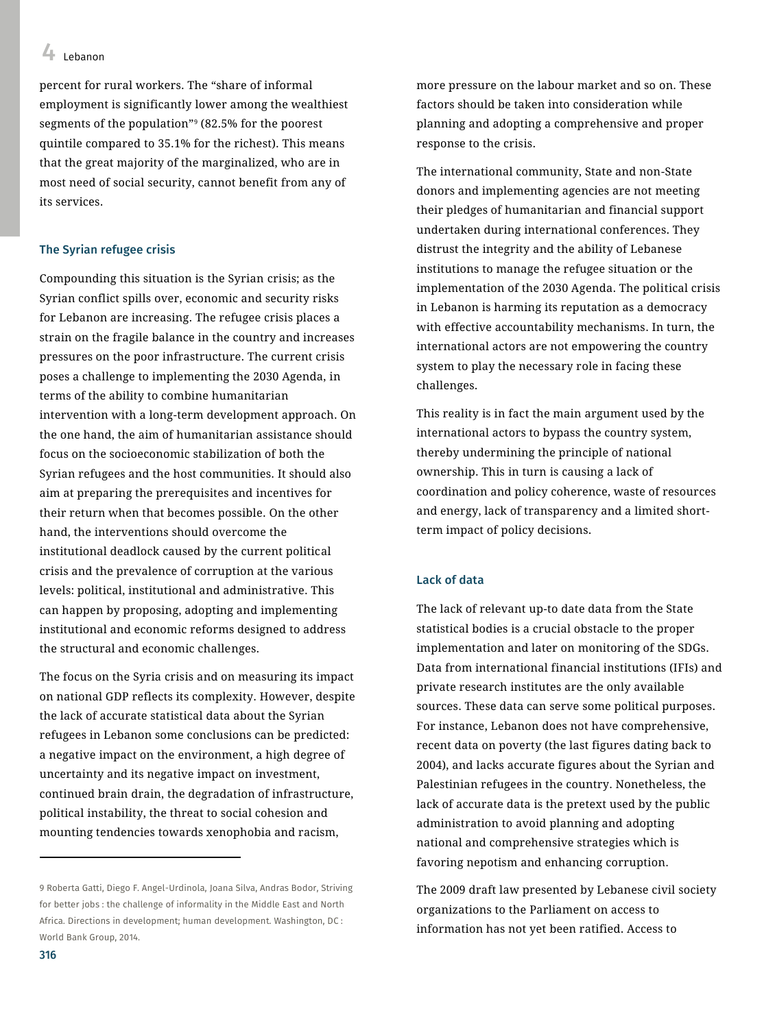percent for rural workers. The "share of informal employment is significantly lower among the wealthiest segments of the population"<sup>9</sup> (82.5% for the poorest quintile compared to 35.1% for the richest). This means that the great majority of the marginalized, who are in most need of social security, cannot benefit from any of its services.

#### The Syrian refugee crisis

Compounding this situation is the Syrian crisis; as the Syrian conflict spills over, economic and security risks for Lebanon are increasing. The refugee crisis places a strain on the fragile balance in the country and increases pressures on the poor infrastructure. The current crisis poses a challenge to implementing the 2030 Agenda, in terms of the ability to combine humanitarian intervention with a long-term development approach. On the one hand, the aim of humanitarian assistance should focus on the socioeconomic stabilization of both the Syrian refugees and the host communities. It should also aim at preparing the prerequisites and incentives for their return when that becomes possible. On the other hand, the interventions should overcome the institutional deadlock caused by the current political crisis and the prevalence of corruption at the various levels: political, institutional and administrative. This can happen by proposing, adopting and implementing institutional and economic reforms designed to address the structural and economic challenges.

The focus on the Syria crisis and on measuring its impact on national GDP reflects its complexity. However, despite the lack of accurate statistical data about the Syrian refugees in Lebanon some conclusions can be predicted: a negative impact on the environment, a high degree of uncertainty and its negative impact on investment, continued brain drain, the degradation of infrastructure, political instability, the threat to social cohesion and mounting tendencies towards xenophobia and racism,

more pressure on the labour market and so on. These factors should be taken into consideration while planning and adopting a comprehensive and proper response to the crisis.

The international community, State and non-State donors and implementing agencies are not meeting their pledges of humanitarian and financial support undertaken during international conferences. They distrust the integrity and the ability of Lebanese institutions to manage the refugee situation or the implementation of the 2030 Agenda. The political crisis in Lebanon is harming its reputation as a democracy with effective accountability mechanisms. In turn, the international actors are not empowering the country system to play the necessary role in facing these challenges.

This reality is in fact the main argument used by the international actors to bypass the country system, thereby undermining the principle of national ownership. This in turn is causing a lack of coordination and policy coherence, waste of resources and energy, lack of transparency and a limited shortterm impact of policy decisions.

#### Lack of data

The lack of relevant up-to date data from the State statistical bodies is a crucial obstacle to the proper implementation and later on monitoring of the SDGs. Data from international financial institutions (IFIs) and private research institutes are the only available sources. These data can serve some political purposes. For instance, Lebanon does not have comprehensive, recent data on poverty (the last figures dating back to 2004), and lacks accurate figures about the Syrian and Palestinian refugees in the country. Nonetheless, the lack of accurate data is the pretext used by the public administration to avoid planning and adopting national and comprehensive strategies which is favoring nepotism and enhancing corruption.

The 2009 draft law presented by Lebanese civil society organizations to the Parliament on access to information has not yet been ratified. Access to

 $\overline{a}$ 

<sup>9</sup> Roberta Gatti, Diego F. Angel-Urdinola, Joana Silva, Andras Bodor, Striving for better jobs : the challenge of informality in the Middle East and North Africa. Directions in development; human development. Washington, DC : World Bank Group, 2014.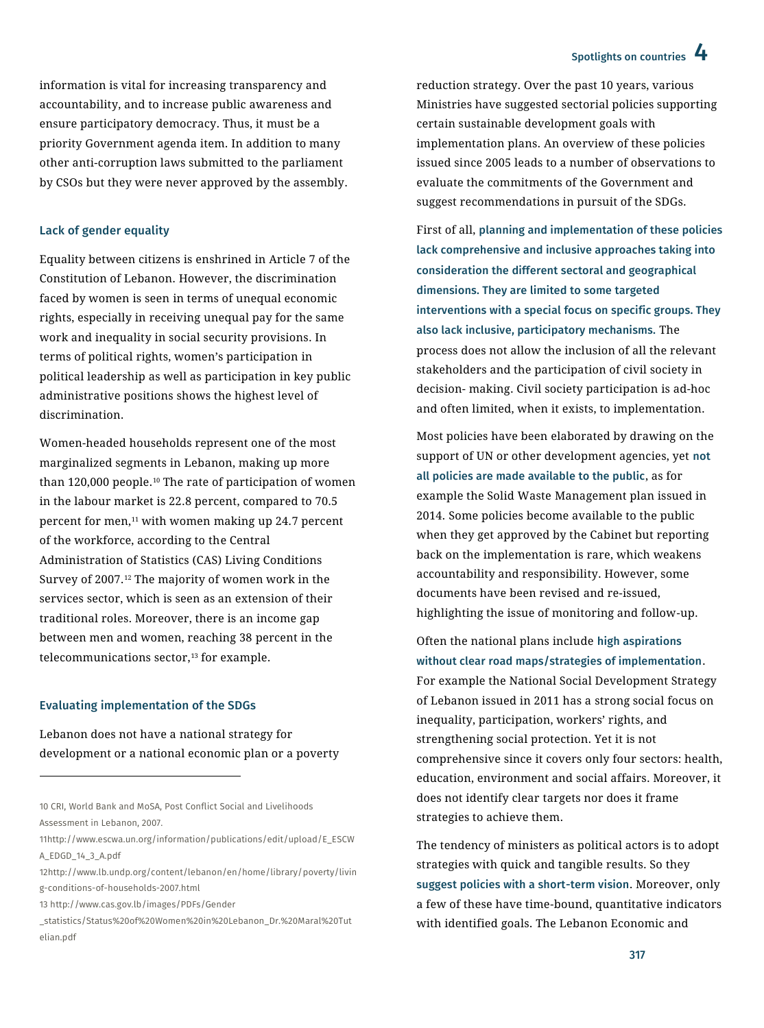## Spotlights on countries 4

information is vital for increasing transparency and accountability, and to increase public awareness and ensure participatory democracy. Thus, it must be a priority Government agenda item. In addition to many other anti-corruption laws submitted to the parliament by CSOs but they were never approved by the assembly.

#### Lack of gender equality

Equality between citizens is enshrined in Article 7 of the Constitution of Lebanon. However, the discrimination faced by women is seen in terms of unequal economic rights, especially in receiving unequal pay for the same work and inequality in social security provisions. In terms of political rights, women's participation in political leadership as well as participation in key public administrative positions shows the highest level of discrimination.

Women-headed households represent one of the most marginalized segments in Lebanon, making up more than  $120,000$  people.<sup>10</sup> The rate of participation of women in the labour market is 22.8 percent, compared to 70.5 percent for men,<sup>11</sup> with women making up 24.7 percent of the workforce, according to the Central Administration of Statistics (CAS) Living Conditions Survey of 2007.<sup>12</sup> The majority of women work in the services sector, which is seen as an extension of their traditional roles. Moreover, there is an income gap between men and women, reaching 38 percent in the telecommunications sector,<sup>13</sup> for example.

#### Evaluating implementation of the SDGs

 $\ddot{\phantom{a}}$ 

Lebanon does not have a national strategy for development or a national economic plan or a poverty reduction strategy. Over the past 10 years, various Ministries have suggested sectorial policies supporting certain sustainable development goals with implementation plans. An overview of these policies issued since 2005 leads to a number of observations to evaluate the commitments of the Government and suggest recommendations in pursuit of the SDGs.

First of all, planning and implementation of these policies lack comprehensive and inclusive approaches taking into consideration the different sectoral and geographical dimensions. They are limited to some targeted interventions with a special focus on specific groups. They also lack inclusive, participatory mechanisms. The process does not allow the inclusion of all the relevant stakeholders and the participation of civil society in decision- making. Civil society participation is ad-hoc and often limited, when it exists, to implementation.

Most policies have been elaborated by drawing on the support of UN or other development agencies, yet not all policies are made available to the public, as for example the Solid Waste Management plan issued in 2014. Some policies become available to the public when they get approved by the Cabinet but reporting back on the implementation is rare, which weakens accountability and responsibility. However, some documents have been revised and re-issued, highlighting the issue of monitoring and follow-up.

Often the national plans include high aspirations without clear road maps/strategies of implementation. For example the National Social Development Strategy of Lebanon issued in 2011 has a strong social focus on inequality, participation, workers' rights, and strengthening social protection. Yet it is not comprehensive since it covers only four sectors: health, education, environment and social affairs. Moreover, it does not identify clear targets nor does it frame strategies to achieve them.

The tendency of ministers as political actors is to adopt strategies with quick and tangible results. So they suggest policies with a short-term vision. Moreover, only a few of these have time-bound, quantitative indicators with identified goals. The Lebanon Economic and

<sup>10</sup> CRI, World Bank and MoSA, Post Conflict Social and Livelihoods Assessment in Lebanon, 2007.

[<sup>11</sup>http://www.escwa.un.org/information/publications/edit/upload/E\\_ESCW](http://www.escwa.un.org/information/publications/edit/upload/E_ESCWA_EDGD_14_3_A.pdf) [A\\_EDGD\\_14\\_3\\_A.pdf](http://www.escwa.un.org/information/publications/edit/upload/E_ESCWA_EDGD_14_3_A.pdf)

[<sup>12</sup>http://www.lb.undp.org/content/lebanon/en/home/library/poverty/livin](http://www.lb.undp.org/content/lebanon/en/home/library/poverty/living-conditions-of-households-2007.html) [g-conditions-of-households-2007.html](http://www.lb.undp.org/content/lebanon/en/home/library/poverty/living-conditions-of-households-2007.html)

<sup>13</sup> [http://www.cas.gov.lb/images/PDFs/Gender](http://www.cas.gov.lb/images/PDFs/Gender%20_statistics/Status%20of%20Women%20in%20Lebanon_Dr.%20Maral%20Tutelian.pdf) 

[\\_statistics/Status%20of%20Women%20in%20Lebanon\\_Dr.%20Maral%20Tut](http://www.cas.gov.lb/images/PDFs/Gender%20_statistics/Status%20of%20Women%20in%20Lebanon_Dr.%20Maral%20Tutelian.pdf) [elian.pdf](http://www.cas.gov.lb/images/PDFs/Gender%20_statistics/Status%20of%20Women%20in%20Lebanon_Dr.%20Maral%20Tutelian.pdf)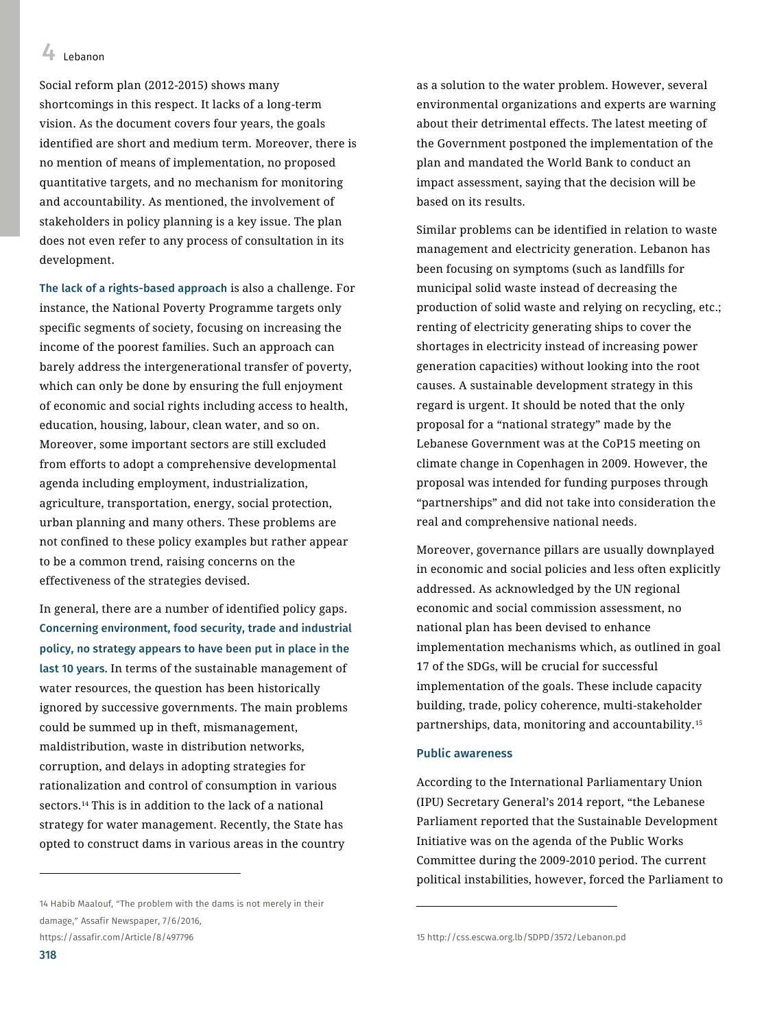Social reform plan (2012-2015) shows many shortcomings in this respect. It lacks of a long-term vision. As the document covers four years, the goals identified are short and medium term. Moreover, there is no mention of means of implementation, no proposed quantitative targets, and no mechanism for monitoring and accountability. As mentioned, the involvement of stakeholders in policy planning is a key issue. The plan does not even refer to any process of consultation in its development.

The lack of a rights-based approach is also a challenge. For instance, the National Poverty Programme targets only specific segments of society, focusing on increasing the income of the poorest families. Such an approach can barely address the intergenerational transfer of poverty, which can only be done by ensuring the full enjoyment of economic and social rights including access to health, education, housing, labour, clean water, and so on. Moreover, some important sectors are still excluded from efforts to adopt a comprehensive developmental agenda including employment, industrialization, agriculture, transportation, energy, social protection, urban planning and many others. These problems are not confined to these policy examples but rather appear to be a common trend, raising concerns on the effectiveness of the strategies devised.

In general, there are a number of identified policy gaps. Concerning environment, food security, trade and industrial policy, no strategy appears to have been put in place in the last 10 years. In terms of the sustainable management of water resources, the question has been historically ignored by successive governments. The main problems could be summed up in theft, mismanagement, maldistribution, waste in distribution networks, corruption, and delays in adopting strategies for rationalization and control of consumption in various sectors.<sup>14</sup> This is in addition to the lack of a national strategy for water management. Recently, the State has opted to construct dams in various areas in the country

14 Habib Maalouf, "The problem with the dams is not merely in their damage," Assafir Newspaper, 7/6/2016, <https://assafir.com/Article/8/497796>

as a solution to the water problem. However, several environmental organizations and experts are warning about their detrimental effects. The latest meeting of the Government postponed the implementation of the plan and mandated the World Bank to conduct an impact assessment, saying that the decision will be based on its results.

Similar problems can be identified in relation to waste management and electricity generation. Lebanon has been focusing on symptoms (such as landfills for municipal solid waste instead of decreasing the production of solid waste and relying on recycling, etc.; renting of electricity generating ships to cover the shortages in electricity instead of increasing power generation capacities) without looking into the root causes. A sustainable development strategy in this regard is urgent. It should be noted that the only proposal for a "national strategy" made by the Lebanese Government was at the CoP15 meeting on climate change in Copenhagen in 2009. However, the proposal was intended for funding purposes through "partnerships" and did not take into consideration the real and comprehensive national needs.

Moreover, governance pillars are usually downplayed in economic and social policies and less often explicitly addressed. As acknowledged by the UN regional economic and social commission assessment, no national plan has been devised to enhance implementation mechanisms which, as outlined in goal 17 of the SDGs, will be crucial for successful implementation of the goals. These include capacity building, trade, policy coherence, multi-stakeholder partnerships, data, monitoring and accountability.<sup>15</sup>

#### Public awareness

 $\overline{\phantom{a}}$ 

According to the International Parliamentary Union (IPU) Secretary General's 2014 report, "the Lebanese Parliament reported that the Sustainable Development Initiative was on the agenda of the Public Works Committee during the 2009-2010 period. The current political instabilities, however, forced the Parliament to

 $\ddot{\phantom{a}}$ 

<sup>15</sup> http://css.escwa.org.lb/SDPD/3572/Lebanon.pd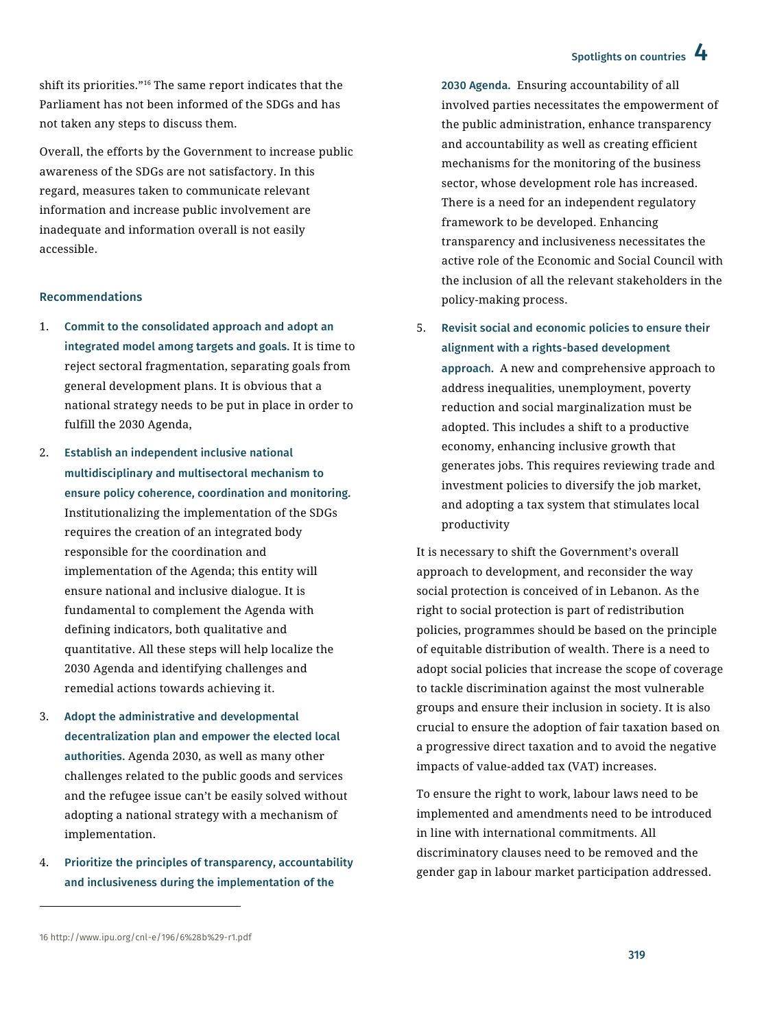## Spotlights on countries 4

shift its priorities."<sup>16</sup> The same report indicates that the Parliament has not been informed of the SDGs and has not taken any steps to discuss them.

Overall, the efforts by the Government to increase public awareness of the SDGs are not satisfactory. In this regard, measures taken to communicate relevant information and increase public involvement are inadequate and information overall is not easily accessible.

#### Recommendations

- 1. Commit to the consolidated approach and adopt an integrated model among targets and goals. It is time to reject sectoral fragmentation, separating goals from general development plans. It is obvious that a national strategy needs to be put in place in order to fulfill the 2030 Agenda,
- 2. Establish an independent inclusive national multidisciplinary and multisectoral mechanism to ensure policy coherence, coordination and monitoring. Institutionalizing the implementation of the SDGs requires the creation of an integrated body responsible for the coordination and implementation of the Agenda; this entity will ensure national and inclusive dialogue. It is fundamental to complement the Agenda with defining indicators, both qualitative and quantitative. All these steps will help localize the 2030 Agenda and identifying challenges and remedial actions towards achieving it.
- 3. Adopt the administrative and developmental decentralization plan and empower the elected local authorities. Agenda 2030, as well as many other challenges related to the public goods and services and the refugee issue can't be easily solved without adopting a national strategy with a mechanism of implementation.
- 4. Prioritize the principles of transparency, accountability and inclusiveness during the implementation of the

2030 Agenda. Ensuring accountability of all involved parties necessitates the empowerment of the public administration, enhance transparency and accountability as well as creating efficient mechanisms for the monitoring of the business sector, whose development role has increased. There is a need for an independent regulatory framework to be developed. Enhancing transparency and inclusiveness necessitates the active role of the Economic and Social Council with the inclusion of all the relevant stakeholders in the policy-making process.

5. Revisit social and economic policies to ensure their alignment with a rights-based development approach. A new and comprehensive approach to address inequalities, unemployment, poverty reduction and social marginalization must be adopted. This includes a shift to a productive economy, enhancing inclusive growth that generates jobs. This requires reviewing trade and investment policies to diversify the job market, and adopting a tax system that stimulates local productivity

It is necessary to shift the Government's overall approach to development, and reconsider the way social protection is conceived of in Lebanon. As the right to social protection is part of redistribution policies, programmes should be based on the principle of equitable distribution of wealth. There is a need to adopt social policies that increase the scope of coverage to tackle discrimination against the most vulnerable groups and ensure their inclusion in society. It is also crucial to ensure the adoption of fair taxation based on a progressive direct taxation and to avoid the negative impacts of value-added tax (VAT) increases.

To ensure the right to work, labour laws need to be implemented and amendments need to be introduced in line with international commitments. All discriminatory clauses need to be removed and the gender gap in labour market participation addressed.

 $\overline{a}$ 

<sup>16</sup> <http://www.ipu.org/cnl-e/196/6%28b%29-r1.pdf>